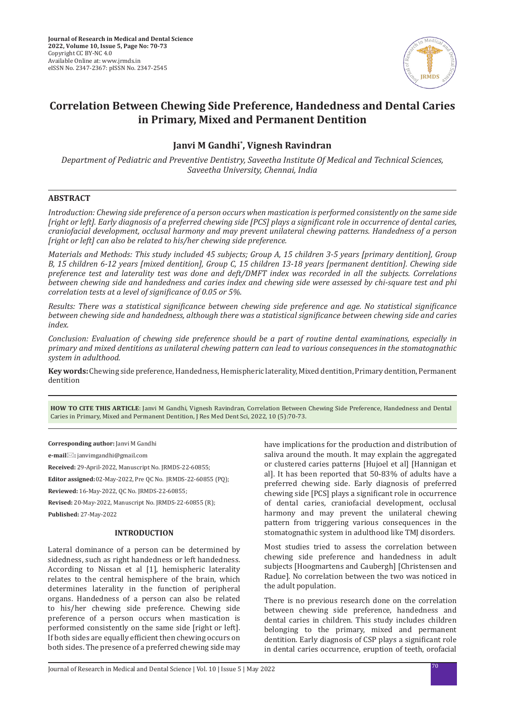

# **Correlation Between Chewing Side Preference, Handedness and Dental Caries in Primary, Mixed and Permanent Dentition**

## **Janvi M Gandhi\* , Vignesh Ravindran**

*Department of Pediatric and Preventive Dentistry, Saveetha Institute Of Medical and Technical Sciences, Saveetha University, Chennai, India*

## **ABSTRACT**

*Introduction: Chewing side preference of a person occurs when mastication is performed consistently on the same side [right or left]. Early diagnosis of a preferred chewing side [PCS] plays a significant role in occurrence of dental caries, craniofacial development, occlusal harmony and may prevent unilateral chewing patterns. Handedness of a person [right or left] can also be related to his/her chewing side preference.*

*Materials and Methods: This study included 45 subjects; Group A, 15 children 3-5 years [primary dentition], Group B, 15 children 6-12 years [mixed dentition], Group C, 15 children 13-18 years [permanent dentition]. Chewing side preference test and laterality test was done and deft/DMFT index was recorded in all the subjects. Correlations between chewing side and handedness and caries index and chewing side were assessed by chi-square test and phi correlation tests at a level of significance of 0.05 or 5%.*

*Results: There was a statistical significance between chewing side preference and age. No statistical significance between chewing side and handedness, although there was a statistical significance between chewing side and caries index.*

*Conclusion: Evaluation of chewing side preference should be a part of routine dental examinations, especially in primary and mixed dentitions as unilateral chewing pattern can lead to various consequences in the stomatognathic system in adulthood.*

**Key words:** Chewing side preference, Handedness, Hemispheric laterality, Mixed dentition, Primary dentition, Permanent dentition

**HOW TO CITE THIS ARTICLE**: Janvi M Gandhi, Vignesh Ravindran, Correlation Between Chewing Side Preference, Handedness and Dental Caries in Primary, Mixed and Permanent Dentition, J Res Med Dent Sci, 2022, 10 (5):70-73.

**Corresponding author:** Janvi M Gandhi

**e-mail:** janvimgandhi@gmail.com

**Received:** 29-April-2022, Manuscript No. JRMDS-22-60855;

**Editor assigned:** 02-May-2022, Pre QC No. JRMDS-22-60855 (PQ);

**Reviewed:** 16-May-2022, QC No. JRMDS-22-60855;

**Revised:** 20-May-2022, Manuscript No. JRMDS-22-60855 (R);

**Published:** 27-May-2022

## **INTRODUCTION**

Lateral dominance of a person can be determined by sidedness, such as right handedness or left handedness. According to Nissan et al [1], hemispheric laterality relates to the central hemisphere of the brain, which determines laterality in the function of peripheral organs. Handedness of a person can also be related to his/her chewing side preference. Chewing side preference of a person occurs when mastication is performed consistently on the same side [right or left]. If both sides are equally efficient then chewing occurs on both sides. The presence of a preferred chewing side may have implications for the production and distribution of saliva around the mouth. It may explain the aggregated or clustered caries patterns [Hujoel et al] [Hannigan et al]. It has been reported that 50-83% of adults have a preferred chewing side. Early diagnosis of preferred chewing side [PCS] plays a significant role in occurrence of dental caries, craniofacial development, occlusal harmony and may prevent the unilateral chewing pattern from triggering various consequences in the stomatognathic system in adulthood like TMJ disorders.

Most studies tried to assess the correlation between chewing side preference and handedness in adult subjects [Hoogmartens and Caubergh] [Christensen and Radue]. No correlation between the two was noticed in the adult population.

There is no previous research done on the correlation between chewing side preference, handedness and dental caries in children. This study includes children belonging to the primary, mixed and permanent dentition. Early diagnosis of CSP plays a significant role in dental caries occurrence, eruption of teeth, orofacial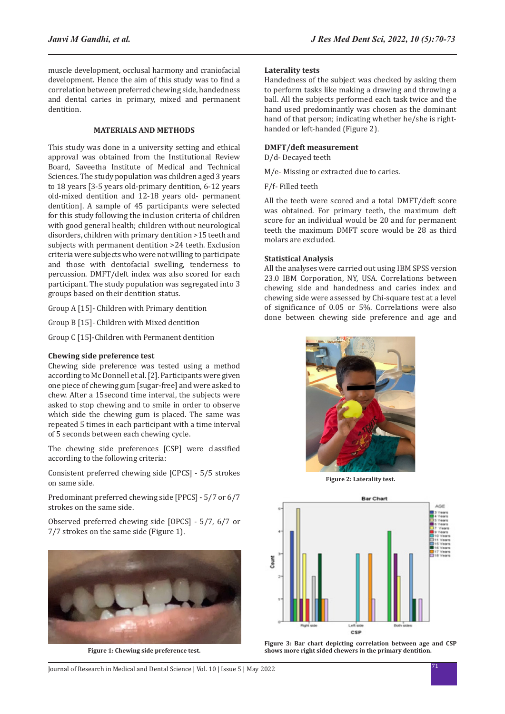muscle development, occlusal harmony and craniofacial development. Hence the aim of this study was to find a correlation between preferred chewing side, handedness and dental caries in primary, mixed and permanent dentition.

## **MATERIALS AND METHODS**

This study was done in a university setting and ethical approval was obtained from the Institutional Review Board, Saveetha Institute of Medical and Technical Sciences. The study population was children aged 3 years to 18 years [3-5 years old-primary dentition, 6-12 years old-mixed dentition and 12-18 years old- permanent dentition]. A sample of 45 participants were selected for this study following the inclusion criteria of children with good general health; children without neurological disorders, children with primary dentition >15 teeth and subjects with permanent dentition >24 teeth. Exclusion criteria were subjects who were not willing to participate and those with dentofacial swelling, tenderness to percussion. DMFT/deft index was also scored for each participant. The study population was segregated into 3 groups based on their dentition status.

Group A [15]- Children with Primary dentition

Group B [15]- Children with Mixed dentition

Group C [15]-Children with Permanent dentition

#### **Chewing side preference test**

Chewing side preference was tested using a method according to Mc Donnell et al. [2]. Participants were given one piece of chewing gum [sugar-free] and were asked to chew. After a 15second time interval, the subjects were asked to stop chewing and to smile in order to observe which side the chewing gum is placed. The same was repeated 5 times in each participant with a time interval of 5 seconds between each chewing cycle.

The chewing side preferences [CSP] were classified according to the following criteria:

Consistent preferred chewing side [CPCS] - 5/5 strokes on same side.

Predominant preferred chewing side [PPCS] - 5/7 or 6/7 strokes on the same side.

Observed preferred chewing side [OPCS] - 5/7, 6/7 or 7/7 strokes on the same side (Figure 1).



**Figure 1: Chewing side preference test.**

## **Laterality tests**

Handedness of the subject was checked by asking them to perform tasks like making a drawing and throwing a ball. All the subjects performed each task twice and the hand used predominantly was chosen as the dominant hand of that person; indicating whether he/she is righthanded or left-handed (Figure 2).

#### **DMFT/deft measurement**

D/d- Decayed teeth

M/e- Missing or extracted due to caries.

F/f- Filled teeth

All the teeth were scored and a total DMFT/deft score was obtained. For primary teeth, the maximum deft score for an individual would be 20 and for permanent teeth the maximum DMFT score would be 28 as third molars are excluded.

#### **Statistical Analysis**

All the analyses were carried out using IBM SPSS version 23.0 IBM Corporation, NY, USA. Correlations between chewing side and handedness and caries index and chewing side were assessed by Chi-square test at a level of significance of 0.05 or 5%. Correlations were also done between chewing side preference and age and



**Figure 2: Laterality test.**



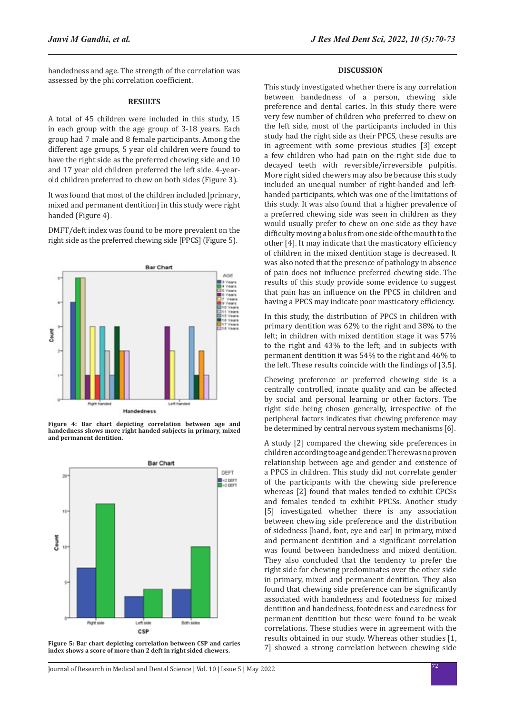handedness and age. The strength of the correlation was assessed by the phi correlation coefficient.

#### **RESULTS**

A total of 45 children were included in this study, 15 in each group with the age group of 3-18 years. Each group had 7 male and 8 female participants. Among the different age groups, 5 year old children were found to have the right side as the preferred chewing side and 10 and 17 year old children preferred the left side. 4-yearold children preferred to chew on both sides (Figure 3).

It was found that most of the children included [primary, mixed and permanent dentition] in this study were right handed (Figure 4).

DMFT/deft index was found to be more prevalent on the right side as the preferred chewing side [PPCS] (Figure 5).



**Figure 4: Bar chart depicting correlation between age and handedness shows more right handed subjects in primary, mixed and permanent dentition.**



**Figure 5: Bar chart depicting correlation between CSP and caries index shows a score of more than 2 deft in right sided chewers.**

#### **DISCUSSION**

This study investigated whether there is any correlation between handedness of a person, chewing side preference and dental caries. In this study there were very few number of children who preferred to chew on the left side, most of the participants included in this study had the right side as their PPCS, these results are in agreement with some previous studies [3] except a few children who had pain on the right side due to decayed teeth with reversible/irreversible pulpitis. More right sided chewers may also be because this study included an unequal number of right-handed and lefthanded participants, which was one of the limitations of this study. It was also found that a higher prevalence of a preferred chewing side was seen in children as they would usually prefer to chew on one side as they have difficulty moving a bolus from one side of the mouth to the other [4]. It may indicate that the masticatory efficiency of children in the mixed dentition stage is decreased. It was also noted that the presence of pathology in absence of pain does not influence preferred chewing side. The results of this study provide some evidence to suggest that pain has an influence on the PPCS in children and having a PPCS may indicate poor masticatory efficiency.

In this study, the distribution of PPCS in children with primary dentition was 62% to the right and 38% to the left; in children with mixed dentition stage it was 57% to the right and 43% to the left; and in subjects with permanent dentition it was 54% to the right and 46% to the left. These results coincide with the findings of [3,5].

Chewing preference or preferred chewing side is a centrally controlled, innate quality and can be affected by social and personal learning or other factors. The right side being chosen generally, irrespective of the peripheral factors indicates that chewing preference may be determined by central nervous system mechanisms [6].

A study [2] compared the chewing side preferences in children according to age and gender. There was no proven relationship between age and gender and existence of a PPCS in children. This study did not correlate gender of the participants with the chewing side preference whereas [2] found that males tended to exhibit CPCSs and females tended to exhibit PPCSs. Another study [5] investigated whether there is any association between chewing side preference and the distribution of sidedness [hand, foot, eye and ear] in primary, mixed and permanent dentition and a significant correlation was found between handedness and mixed dentition. They also concluded that the tendency to prefer the right side for chewing predominates over the other side in primary, mixed and permanent dentition. They also found that chewing side preference can be significantly associated with handedness and footedness for mixed dentition and handedness, footedness and earedness for permanent dentition but these were found to be weak correlations. These studies were in agreement with the results obtained in our study. Whereas other studies [1, 7] showed a strong correlation between chewing side